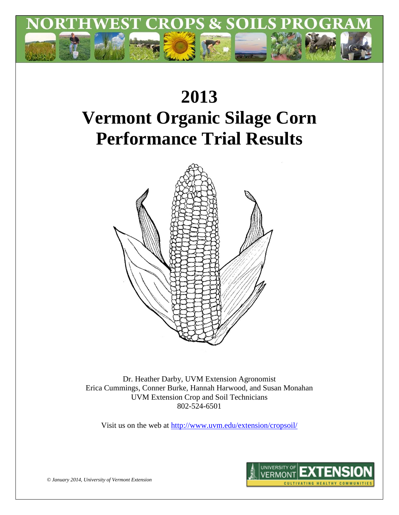

# **2013 Vermont Organic Silage Corn Performance Trial Results**



Dr. Heather Darby, UVM Extension Agronomist Erica Cummings, Conner Burke, Hannah Harwood, and Susan Monahan UVM Extension Crop and Soil Technicians 802-524-6501

Visit us on the web at<http://www.uvm.edu/extension/cropsoil/>



*© January 2014, University of Vermont Extension*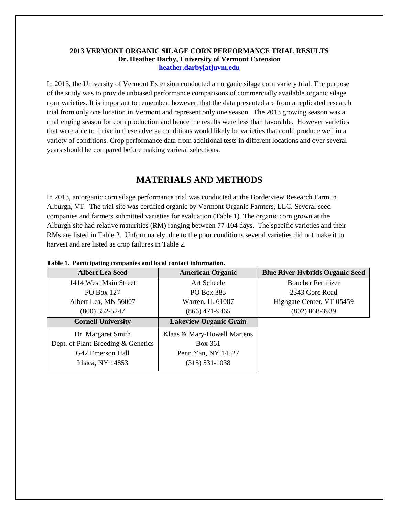#### **2013 VERMONT ORGANIC SILAGE CORN PERFORMANCE TRIAL RESULTS Dr. Heather Darby, University of Vermont Extension [heather.darby\[at\]uvm.edu](mailto:heather.darby@uvm.edu?subject=2012%20Short%20Season%20Corn%20Report)**

In 2013, the University of Vermont Extension conducted an organic silage corn variety trial. The purpose of the study was to provide unbiased performance comparisons of commercially available organic silage corn varieties. It is important to remember, however, that the data presented are from a replicated research trial from only one location in Vermont and represent only one season. The 2013 growing season was a challenging season for corn production and hence the results were less than favorable. However varieties that were able to thrive in these adverse conditions would likely be varieties that could produce well in a variety of conditions. Crop performance data from additional tests in different locations and over several years should be compared before making varietal selections.

# **MATERIALS AND METHODS**

In 2013, an organic corn silage performance trial was conducted at the Borderview Research Farm in Alburgh, VT. The trial site was certified organic by Vermont Organic Farmers, LLC. Several seed companies and farmers submitted varieties for evaluation (Table 1). The organic corn grown at the Alburgh site had relative maturities (RM) ranging between 77-104 days. The specific varieties and their RMs are listed in Table 2. Unfortunately, due to the poor conditions several varieties did not make it to harvest and are listed as crop failures in Table 2.

| rasic re-racionality companies and local contact miorination. |                               |                                        |  |  |  |  |  |  |
|---------------------------------------------------------------|-------------------------------|----------------------------------------|--|--|--|--|--|--|
| <b>Albert Lea Seed</b>                                        | <b>American Organic</b>       | <b>Blue River Hybrids Organic Seed</b> |  |  |  |  |  |  |
| 1414 West Main Street                                         | Art Scheele                   | <b>Boucher Fertilizer</b>              |  |  |  |  |  |  |
| PO Box 127                                                    | PO Box 385                    | 2343 Gore Road                         |  |  |  |  |  |  |
| Albert Lea, MN 56007                                          | Warren, IL 61087              | Highgate Center, VT 05459              |  |  |  |  |  |  |
| $(800)$ 352-5247                                              | $(866)$ 471-9465              | $(802) 868 - 3939$                     |  |  |  |  |  |  |
| <b>Cornell University</b>                                     | <b>Lakeview Organic Grain</b> |                                        |  |  |  |  |  |  |
| Dr. Margaret Smith                                            | Klaas & Mary-Howell Martens   |                                        |  |  |  |  |  |  |
| Dept. of Plant Breeding & Genetics                            | <b>Box 361</b>                |                                        |  |  |  |  |  |  |
| G42 Emerson Hall                                              | Penn Yan, NY 14527            |                                        |  |  |  |  |  |  |
| Ithaca, NY 14853                                              | $(315) 531 - 1038$            |                                        |  |  |  |  |  |  |
|                                                               |                               |                                        |  |  |  |  |  |  |

**Table 1. Participating companies and local contact information.**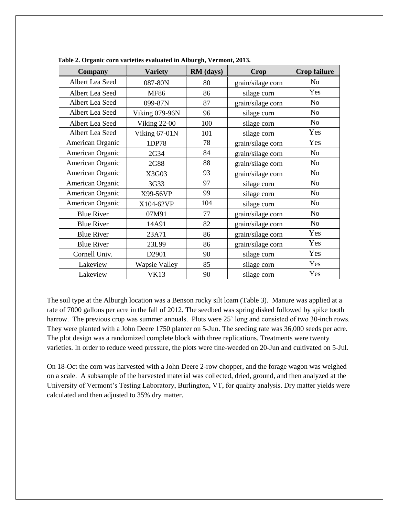| <b>Company</b>             | <b>Variety</b>       | RM (days)<br>Crop |                   | <b>Crop failure</b> |
|----------------------------|----------------------|-------------------|-------------------|---------------------|
| Albert Lea Seed            | 087-80N              | 80                | grain/silage corn | N <sub>0</sub>      |
| Albert Lea Seed            | <b>MF86</b>          | 86                | silage corn       | Yes                 |
| Albert Lea Seed            | 099-87N              | 87                | grain/silage corn | N <sub>o</sub>      |
| Albert Lea Seed            | Viking 079-96N       | 96                | silage corn       | N <sub>o</sub>      |
| Albert Lea Seed            | Viking 22-00         | 100               | silage corn       | N <sub>o</sub>      |
| Albert Lea Seed            | Viking 67-01N        | 101               | silage corn       | Yes                 |
| American Organic           | 1DP78                | 78                | grain/silage corn | Yes                 |
| American Organic           | 2G34                 | 84                | grain/silage corn | N <sub>o</sub>      |
| American Organic           | 2G88                 | 88                | grain/silage corn | N <sub>o</sub>      |
| American Organic           | X3G03                | 93                | grain/silage corn | N <sub>o</sub>      |
| American Organic           | 3G33                 | 97                | silage corn       | No                  |
| American Organic           | X99-56VP             | 99                | silage corn       | No                  |
| American Organic           | X104-62VP            |                   | silage corn       | N <sub>o</sub>      |
| 07M91<br><b>Blue River</b> |                      | 77                | grain/silage corn | No                  |
| <b>Blue River</b>          | 14A91                |                   | grain/silage corn | No                  |
| <b>Blue River</b>          | 23A71                |                   | grain/silage corn | Yes                 |
| <b>Blue River</b>          | 23L99                |                   | grain/silage corn | Yes                 |
| Cornell Univ.              | D2901                | 90                | silage corn       | Yes                 |
| Lakeview                   | <b>Wapsie Valley</b> | 85                | silage corn       | Yes                 |
| Lakeview                   | <b>VK13</b>          | 90                | silage corn       | Yes                 |

 **Table 2. Organic corn varieties evaluated in Alburgh, Vermont, 2013.**

The soil type at the Alburgh location was a Benson rocky silt loam (Table 3). Manure was applied at a rate of 7000 gallons per acre in the fall of 2012. The seedbed was spring disked followed by spike tooth harrow. The previous crop was summer annuals. Plots were 25' long and consisted of two 30-inch rows. They were planted with a John Deere 1750 planter on 5-Jun. The seeding rate was 36,000 seeds per acre. The plot design was a randomized complete block with three replications. Treatments were twenty varieties. In order to reduce weed pressure, the plots were tine-weeded on 20-Jun and cultivated on 5-Jul.

On 18-Oct the corn was harvested with a John Deere 2-row chopper, and the forage wagon was weighed on a scale. A subsample of the harvested material was collected, dried, ground, and then analyzed at the University of Vermont's Testing Laboratory, Burlington, VT, for quality analysis. Dry matter yields were calculated and then adjusted to 35% dry matter.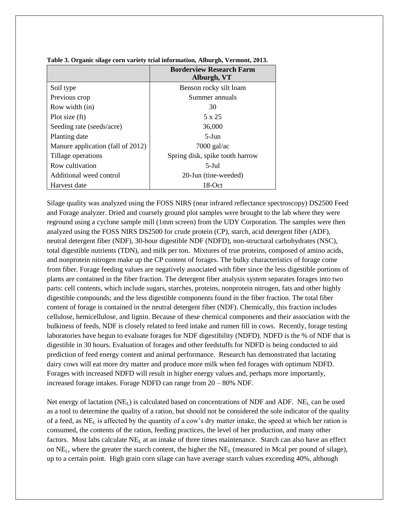|                                   | <b>Borderview Research Farm</b><br>Alburgh, VT |
|-----------------------------------|------------------------------------------------|
| Soil type                         | Benson rocky silt loam                         |
| Previous crop                     | Summer annuals                                 |
| Row width (in)                    | 30                                             |
| Plot size (ft)                    | 5 x 25                                         |
| Seeding rate (seeds/acre)         | 36,000                                         |
| Planting date                     | $5-J$ un                                       |
| Manure application (fall of 2012) | $7000$ gal/ac                                  |
| Tillage operations                | Spring disk, spike tooth harrow                |
| Row cultivation                   | $5-Jul$                                        |
| Additional weed control           | 20-Jun (tine-weeded)                           |
| Harvest date                      | 18-Oct                                         |

**Table 3. Organic silage corn variety trial information, Alburgh, Vermont, 2013.**

Silage quality was analyzed using the FOSS NIRS (near infrared reflectance spectroscopy) DS2500 Feed and Forage analyzer. Dried and coarsely ground plot samples were brought to the lab where they were reground using a cyclone sample mill (1mm screen) from the UDY Corporation. The samples were then analyzed using the FOSS NIRS DS2500 for crude protein (CP), starch, acid detergent fiber (ADF), neutral detergent fiber (NDF), 30-hour digestible NDF (NDFD), non-structural carbohydrates (NSC), total digestible nutrients (TDN), and milk per ton. Mixtures of true proteins, composed of amino acids, and nonprotein nitrogen make up the CP content of forages. The bulky characteristics of forage come from fiber. Forage feeding values are negatively associated with fiber since the less digestible portions of plants are contained in the fiber fraction. The detergent fiber analysis system separates forages into two parts: cell contents, which include sugars, starches, proteins, nonprotein nitrogen, fats and other highly digestible compounds; and the less digestible components found in the fiber fraction. The total fiber content of forage is contained in the neutral detergent fiber (NDF). Chemically, this fraction includes cellulose, hemicellulose, and lignin. Because of these chemical components and their association with the bulkiness of feeds, NDF is closely related to feed intake and rumen fill in cows. Recently, forage testing laboratories have begun to evaluate forages for NDF digestibility (NDFD). NDFD is the % of NDF that is digestible in 30 hours. Evaluation of forages and other feedstuffs for NDFD is being conducted to aid prediction of feed energy content and animal performance. Research has demonstrated that lactating dairy cows will eat more dry matter and produce more milk when fed forages with optimum NDFD. Forages with increased NDFD will result in higher energy values and, perhaps more importantly, increased forage intakes. Forage NDFD can range from 20 – 80% NDF.

Net energy of lactation ( $NE<sub>L</sub>$ ) is calculated based on concentrations of NDF and ADF. NE<sub>L</sub> can be used as a tool to determine the quality of a ration, but should not be considered the sole indicator of the quality of a feed, as  $NE<sub>L</sub>$  is affected by the quantity of a cow's dry matter intake, the speed at which her ration is consumed, the contents of the ration, feeding practices, the level of her production, and many other factors. Most labs calculate  $NE<sub>L</sub>$  at an intake of three times maintenance. Starch can also have an effect on  $NE<sub>L</sub>$ , where the greater the starch content, the higher the  $NE<sub>L</sub>$  (measured in Mcal per pound of silage), up to a certain point. High grain corn silage can have average starch values exceeding 40%, although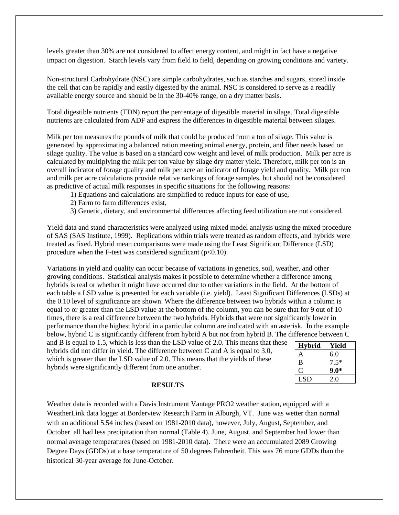levels greater than 30% are not considered to affect energy content, and might in fact have a negative impact on digestion. Starch levels vary from field to field, depending on growing conditions and variety.

Non-structural Carbohydrate (NSC) are simple carbohydrates, such as starches and sugars, stored inside the cell that can be rapidly and easily digested by the animal. NSC is considered to serve as a readily available energy source and should be in the 30-40% range, on a dry matter basis.

Total digestible nutrients (TDN) report the percentage of digestible material in silage. Total digestible nutrients are calculated from ADF and express the differences in digestible material between silages.

Milk per ton measures the pounds of milk that could be produced from a ton of silage. This value is generated by approximating a balanced ration meeting animal energy, protein, and fiber needs based on silage quality. The value is based on a standard cow weight and level of milk production. Milk per acre is calculated by multiplying the milk per ton value by silage dry matter yield. Therefore, milk per ton is an overall indicator of forage quality and milk per acre an indicator of forage yield and quality. Milk per ton and milk per acre calculations provide relative rankings of forage samples, but should not be considered as predictive of actual milk responses in specific situations for the following reasons:

- 1) Equations and calculations are simplified to reduce inputs for ease of use,
- 2) Farm to farm differences exist,
- 3) Genetic, dietary, and environmental differences affecting feed utilization are not considered.

Yield data and stand characteristics were analyzed using mixed model analysis using the mixed procedure of SAS (SAS Institute, 1999). Replications within trials were treated as random effects, and hybrids were treated as fixed. Hybrid mean comparisons were made using the Least Significant Difference (LSD) procedure when the F-test was considered significant  $(p<0.10)$ .

Variations in yield and quality can occur because of variations in genetics, soil, weather, and other growing conditions. Statistical analysis makes it possible to determine whether a difference among hybrids is real or whether it might have occurred due to other variations in the field. At the bottom of each table a LSD value is presented for each variable (i.e. yield). Least Significant Differences (LSDs) at the 0.10 level of significance are shown. Where the difference between two hybrids within a column is equal to or greater than the LSD value at the bottom of the column, you can be sure that for 9 out of 10 times, there is a real difference between the two hybrids. Hybrids that were not significantly lower in performance than the highest hybrid in a particular column are indicated with an asterisk. In the example below, hybrid C is significantly different from hybrid A but not from hybrid B. The difference between C

and B is equal to 1.5, which is less than the LSD value of 2.0. This means that these hybrids did not differ in yield. The difference between C and A is equal to 3.0, which is greater than the LSD value of 2.0. This means that the yields of these hybrids were significantly different from one another.

| <b>Hybrid</b> | Yield  |
|---------------|--------|
| A             | 6.0    |
| B             | $7.5*$ |
| C             | $9.0*$ |
| <b>LSD</b>    | 20     |

#### **RESULTS**

Weather data is recorded with a Davis Instrument Vantage PRO2 weather station, equipped with a WeatherLink data logger at Borderview Research Farm in Alburgh, VT. June was wetter than normal with an additional 5.54 inches (based on 1981-2010 data), however, July, August, September, and October all had less precipitation than normal (Table 4). June, August, and September had lower than normal average temperatures (based on 1981-2010 data). There were an accumulated 2089 Growing Degree Days (GDDs) at a base temperature of 50 degrees Fahrenheit. This was 76 more GDDs than the historical 30-year average for June-October.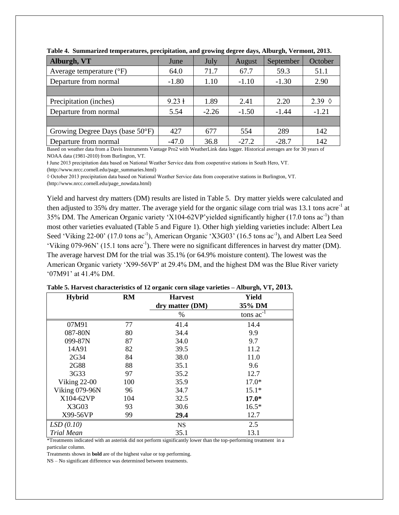| Alburgh, VT                       | June              | July    | August  | September | October         |
|-----------------------------------|-------------------|---------|---------|-----------|-----------------|
| Average temperature $(^{\circ}F)$ | 64.0              | 71.7    | 67.7    | 59.3      | 51.1            |
| Departure from normal             | $-1.80$           | 1.10    | $-1.10$ | $-1.30$   | 2.90            |
|                                   |                   |         |         |           |                 |
| Precipitation (inches)            | $9.23 \text{ }$ 1 | 1.89    | 2.41    | 2.20      | 2.39 $\Diamond$ |
| Departure from normal             | 5.54              | $-2.26$ | $-1.50$ | $-1.44$   | $-1.21$         |
|                                   |                   |         |         |           |                 |
| Growing Degree Days (base 50°F)   | 427               | 677     | 554     | 289       | 142             |
| Departure from normal             | $-47.0$           | 36.8    | $-27.2$ | $-28.7$   | 142             |

**Table 4. Summarized temperatures, precipitation, and growing degree days, Alburgh, Vermont, 2013.**

Based on weather data from a Davis Instruments Vantage Pro2 with WeatherLink data logger. Historical averages are for 30 years of NOAA data (1981-2010) from Burlington, VT.

ⱡ June 2013 precipitation data based on National Weather Service data from cooperative stations in South Hero, VT.

(http://www.nrcc.cornell.edu/page\_summaries.html)

◊ October 2013 precipitation data based on National Weather Service data from cooperative stations in Burlington, VT.

(http://www.nrcc.cornell.edu/page\_nowdata.html)

Yield and harvest dry matters (DM) results are listed in Table 5. Dry matter yields were calculated and then adjusted to 35% dry matter. The average yield for the organic silage corn trial was 13.1 tons acre<sup>-1</sup> at 35% DM. The American Organic variety 'X104-62VP' yielded significantly higher  $(17.0 \text{ tons ac}^{-1})$  than most other varieties evaluated (Table 5 and Figure 1). Other high yielding varieties include: Albert Lea Seed 'Viking 22-00' (17.0 tons ac<sup>-1</sup>), American Organic 'X3G03' (16.5 tons ac<sup>-1</sup>), and Albert Lea Seed 'Viking 079-96N' (15.1 tons acre<sup>-1</sup>). There were no significant differences in harvest dry matter (DM). The average harvest DM for the trial was 35.1% (or 64.9% moisture content). The lowest was the American Organic variety 'X99-56VP' at 29.4% DM, and the highest DM was the Blue River variety '07M91' at 41.4% DM.

| <b>Hybrid</b>         | <b>RM</b> | <b>Harvest</b><br>dry matter (DM) | <b>Yield</b><br>35% DM |
|-----------------------|-----------|-----------------------------------|------------------------|
|                       |           | %                                 | tons $ac^{-1}$         |
| 07M91                 | 77        | 41.4                              | 14.4                   |
| 087-80N               | 80        | 34.4                              | 9.9                    |
| 099-87N               | 87        | 34.0                              | 9.7                    |
| 14A91                 | 82        | 39.5                              | 11.2                   |
| 2G34                  | 84        | 38.0                              | 11.0                   |
| 2G88                  | 88        | 35.1                              | 9.6                    |
| 3G33                  | 97        | 35.2                              | 12.7                   |
| <b>Viking 22-00</b>   | 100       | 35.9                              | $17.0*$                |
| <b>Viking 079-96N</b> | 96        | 34.7                              | $15.1*$                |
| X104-62VP             | 104       | 32.5                              | $17.0*$                |
| X3G03                 | 93        | 30.6                              | $16.5*$                |
| X99-56VP              | 99        | 29.4                              | 12.7                   |
| LSD(0.10)             |           | <b>NS</b>                         | 2.5                    |
| Trial Mean            |           | 35.1                              | 13.1                   |

|  |  | Table 5. Harvest characteristics of 12 organic corn silage varieties - Alburgh, VT, 2013. |
|--|--|-------------------------------------------------------------------------------------------|
|  |  |                                                                                           |

\*Treatments indicated with an asterisk did not perform significantly lower than the top-performing treatment in a particular column.

Treatments shown in **bold** are of the highest value or top performing.

NS – No significant difference was determined between treatments.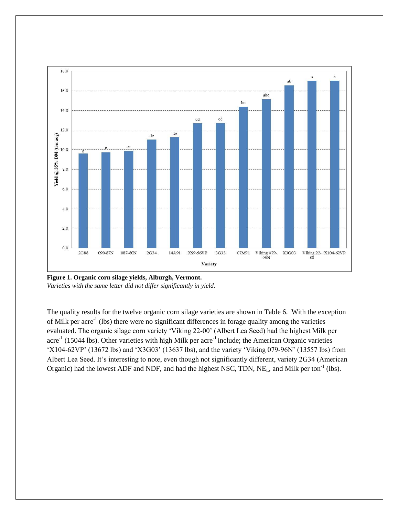

**Figure 1. Organic corn silage yields, Alburgh, Vermont.**  *Varieties with the same letter did not differ significantly in yield.*

The quality results for the twelve organic corn silage varieties are shown in Table 6. With the exception of Milk per acre<sup>-1</sup> (lbs) there were no significant differences in forage quality among the varieties evaluated. The organic silage corn variety 'Viking 22-00' (Albert Lea Seed) had the highest Milk per acre<sup>-1</sup> (15044 lbs). Other varieties with high Milk per acre<sup>-1</sup> include; the American Organic varieties 'X104-62VP' (13672 lbs) and 'X3G03' (13637 lbs), and the variety 'Viking 079-96N' (13557 lbs) from Albert Lea Seed. It's interesting to note, even though not significantly different, variety 2G34 (American Organic) had the lowest ADF and NDF, and had the highest NSC, TDN,  $NE<sub>L</sub>$ , and Milk per ton<sup>-1</sup> (lbs).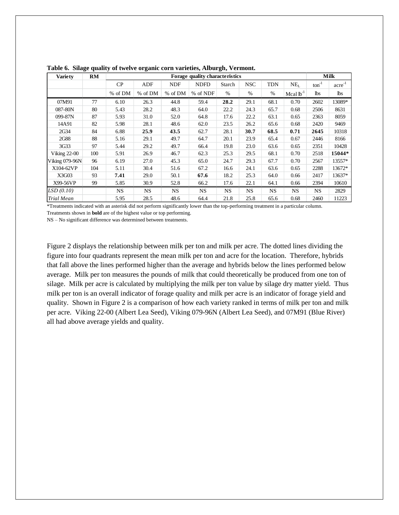| <b>Variety</b>      | RM  | Forage quality characteristics |           |            |             |           |            | <b>Milk</b> |                |                   |                      |
|---------------------|-----|--------------------------------|-----------|------------|-------------|-----------|------------|-------------|----------------|-------------------|----------------------|
|                     |     | CP                             | ADF       | <b>NDF</b> | <b>NDFD</b> | Starch    | <b>NSC</b> | <b>TDN</b>  | $NE_{L}$       | $\text{ton}^{-1}$ | $\mathrm{acre}^{-1}$ |
|                     |     | % of DM                        | % of DM   | % of DM    | % of NDF    | %         | %          | %           | Mcal $lb^{-1}$ | <b>lbs</b>        | lbs                  |
| 07M91               | 77  | 6.10                           | 26.3      | 44.8       | 59.4        | 28.2      | 29.1       | 68.1        | 0.70           | 2602              | 13089*               |
| 087-80N             | 80  | 5.43                           | 28.2      | 48.3       | 64.0        | 22.2      | 24.3       | 65.7        | 0.68           | 2506              | 8631                 |
| 099-87N             | 87  | 5.93                           | 31.0      | 52.0       | 64.8        | 17.6      | 22.2       | 63.1        | 0.65           | 2363              | 8059                 |
| 14A91               | 82  | 5.98                           | 28.1      | 48.6       | 62.0        | 23.5      | 26.2       | 65.6        | 0.68           | 2420              | 9469                 |
| 2G34                | 84  | 6.88                           | 25.9      | 43.5       | 62.7        | 28.1      | 30.7       | 68.5        | 0.71           | 2645              | 10318                |
| 2G88                | 88  | 5.16                           | 29.1      | 49.7       | 64.7        | 20.1      | 23.9       | 65.4        | 0.67           | 2446              | 8166                 |
| 3G33                | 97  | 5.44                           | 29.2      | 49.7       | 66.4        | 19.8      | 23.0       | 63.6        | 0.65           | 2351              | 10428                |
| <b>Viking 22-00</b> | 100 | 5.91                           | 26.9      | 46.7       | 62.3        | 25.3      | 29.5       | 68.1        | 0.70           | 2518              | 15044*               |
| Viking 079-96N      | 96  | 6.19                           | 27.0      | 45.3       | 65.0        | 24.7      | 29.3       | 67.7        | 0.70           | 2567              | 13557*               |
| X104-62VP           | 104 | 5.11                           | 30.4      | 51.6       | 67.2        | 16.6      | 24.1       | 63.6        | 0.65           | 2288              | 13672*               |
| X3G03               | 93  | 7.41                           | 29.0      | 50.1       | 67.6        | 18.2      | 25.3       | 64.0        | 0.66           | 2417              | 13637*               |
| X99-56VP            | 99  | 5.85                           | 30.9      | 52.8       | 66.2        | 17.6      | 22.1       | 64.1        | 0.66           | 2394              | 10610                |
| LSD(0.10)           |     | <b>NS</b>                      | <b>NS</b> | <b>NS</b>  | NS          | <b>NS</b> | <b>NS</b>  | <b>NS</b>   | <b>NS</b>      | <b>NS</b>         | 2829                 |
| <b>Trial Mean</b>   |     | 5.95                           | 28.5      | 48.6       | 64.4        | 21.8      | 25.8       | 65.6        | 0.68           | 2460              | 11223                |

**Table 6. Silage quality of twelve organic corn varieties, Alburgh, Vermont.**

\*Treatments indicated with an asterisk did not perform significantly lower than the top-performing treatment in a particular column.

Treatments shown in **bold** are of the highest value or top performing.

NS – No significant difference was determined between treatments.

Figure 2 displays the relationship between milk per ton and milk per acre. The dotted lines dividing the figure into four quadrants represent the mean milk per ton and acre for the location. Therefore, hybrids that fall above the lines performed higher than the average and hybrids below the lines performed below average. Milk per ton measures the pounds of milk that could theoretically be produced from one ton of silage. Milk per acre is calculated by multiplying the milk per ton value by silage dry matter yield. Thus milk per ton is an overall indicator of forage quality and milk per acre is an indicator of forage yield and quality. Shown in Figure 2 is a comparison of how each variety ranked in terms of milk per ton and milk per acre. Viking 22-00 (Albert Lea Seed), Viking 079-96N (Albert Lea Seed), and 07M91 (Blue River) all had above average yields and quality.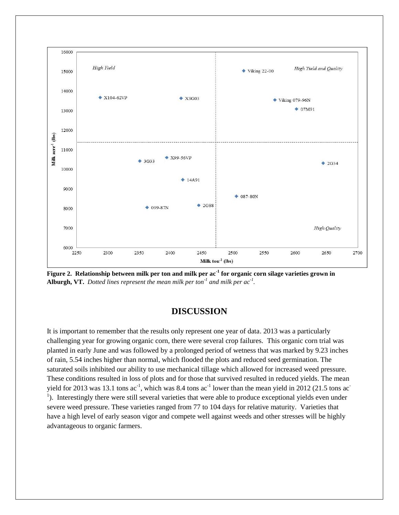

**Figure 2. Relationship between milk per ton and milk per ac-1 for organic corn silage varieties grown in Alburgh, VT.** *Dotted lines represent the mean milk per ton-1 and milk per ac-1 .*

## **DISCUSSION**

It is important to remember that the results only represent one year of data. 2013 was a particularly challenging year for growing organic corn, there were several crop failures. This organic corn trial was planted in early June and was followed by a prolonged period of wetness that was marked by 9.23 inches of rain, 5.54 inches higher than normal, which flooded the plots and reduced seed germination. The saturated soils inhibited our ability to use mechanical tillage which allowed for increased weed pressure. These conditions resulted in loss of plots and for those that survived resulted in reduced yields. The mean yield for 2013 was 13.1 tons  $ac^{-1}$ , which was 8.4 tons  $ac^{-1}$  lower than the mean yield in 2012 (21.5 tons  $ac^{-1}$ <sup>1</sup>). Interestingly there were still several varieties that were able to produce exceptional yields even under severe weed pressure. These varieties ranged from 77 to 104 days for relative maturity. Varieties that have a high level of early season vigor and compete well against weeds and other stresses will be highly advantageous to organic farmers.